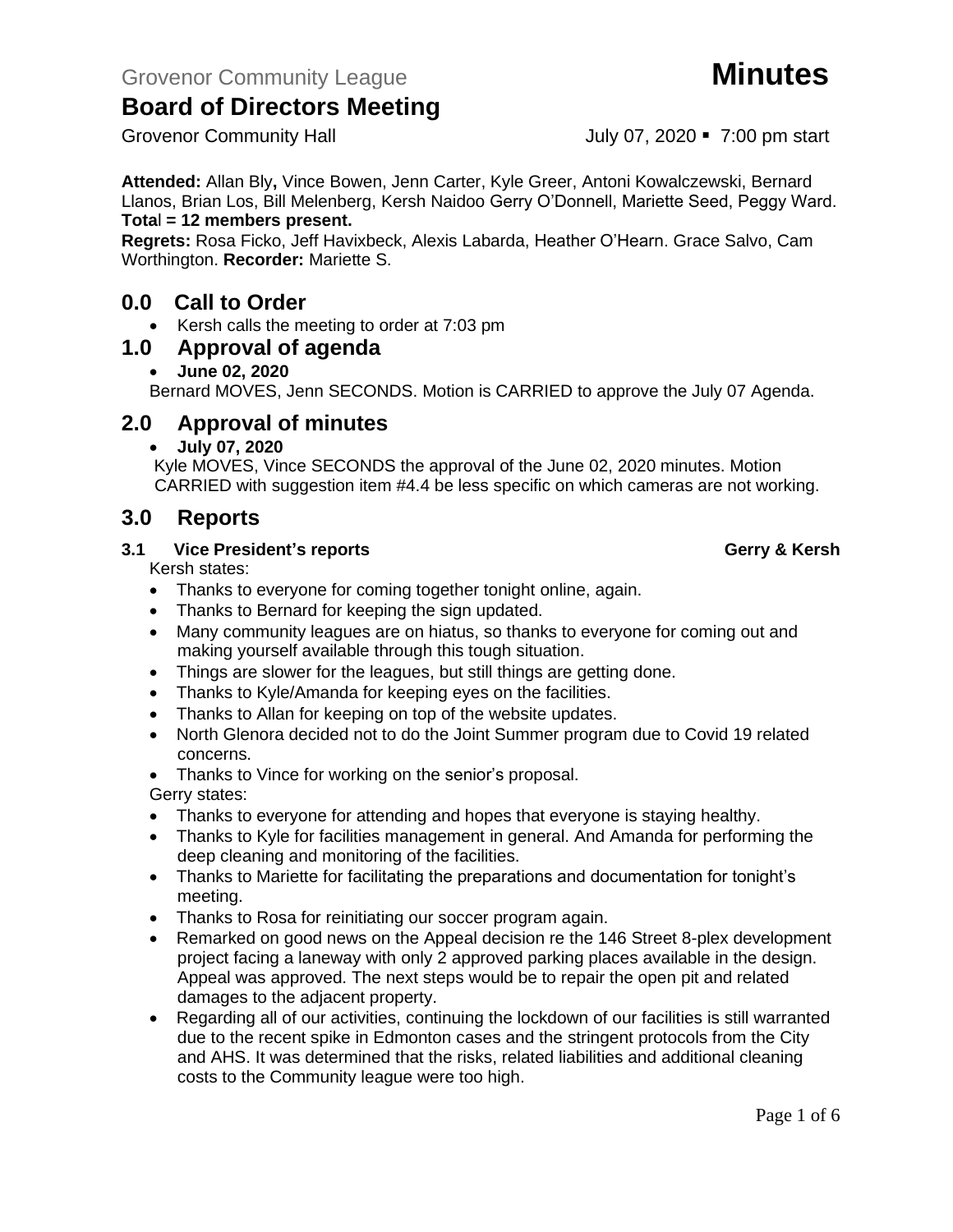Grovenor Community Hall July 07, 2020 • 7:00 pm start

**Attended:** Allan Bly**,** Vince Bowen, Jenn Carter, Kyle Greer, Antoni Kowalczewski, Bernard Llanos, Brian Los, Bill Melenberg, Kersh Naidoo Gerry O'Donnell, Mariette Seed, Peggy Ward. **Tota**l **= 12 members present.**

**Regrets:** Rosa Ficko, Jeff Havixbeck, Alexis Labarda, Heather O'Hearn. Grace Salvo, Cam Worthington. **Recorder:** Mariette S.

### **0.0 Call to Order**

• Kersh calls the meeting to order at 7:03 pm

#### **1.0 Approval of agenda**

• **June 02, 2020**

Bernard MOVES, Jenn SECONDS. Motion is CARRIED to approve the July 07 Agenda.

### **2.0 Approval of minutes**

• **July 07, 2020**

Kyle MOVES, Vince SECONDS the approval of the June 02, 2020 minutes. Motion CARRIED with suggestion item #4.4 be less specific on which cameras are not working.

### **3.0 Reports**

#### **3.1 Vice President's reports Gerry & Kersh**

Kersh states:

- Thanks to everyone for coming together tonight online, again.
- Thanks to Bernard for keeping the sign updated.
- Many community leagues are on hiatus, so thanks to everyone for coming out and making yourself available through this tough situation.
- Things are slower for the leagues, but still things are getting done.
- Thanks to Kyle/Amanda for keeping eyes on the facilities.
- Thanks to Allan for keeping on top of the website updates.
- North Glenora decided not to do the Joint Summer program due to Covid 19 related concerns.
- Thanks to Vince for working on the senior's proposal.

#### Gerry states:

- Thanks to everyone for attending and hopes that everyone is staying healthy.
- Thanks to Kyle for facilities management in general. And Amanda for performing the deep cleaning and monitoring of the facilities.
- Thanks to Mariette for facilitating the preparations and documentation for tonight's meeting.
- Thanks to Rosa for reinitiating our soccer program again.
- Remarked on good news on the Appeal decision re the 146 Street 8-plex development project facing a laneway with only 2 approved parking places available in the design. Appeal was approved. The next steps would be to repair the open pit and related damages to the adjacent property.
- Regarding all of our activities, continuing the lockdown of our facilities is still warranted due to the recent spike in Edmonton cases and the stringent protocols from the City and AHS. It was determined that the risks, related liabilities and additional cleaning costs to the Community league were too high.

Page 1 of 6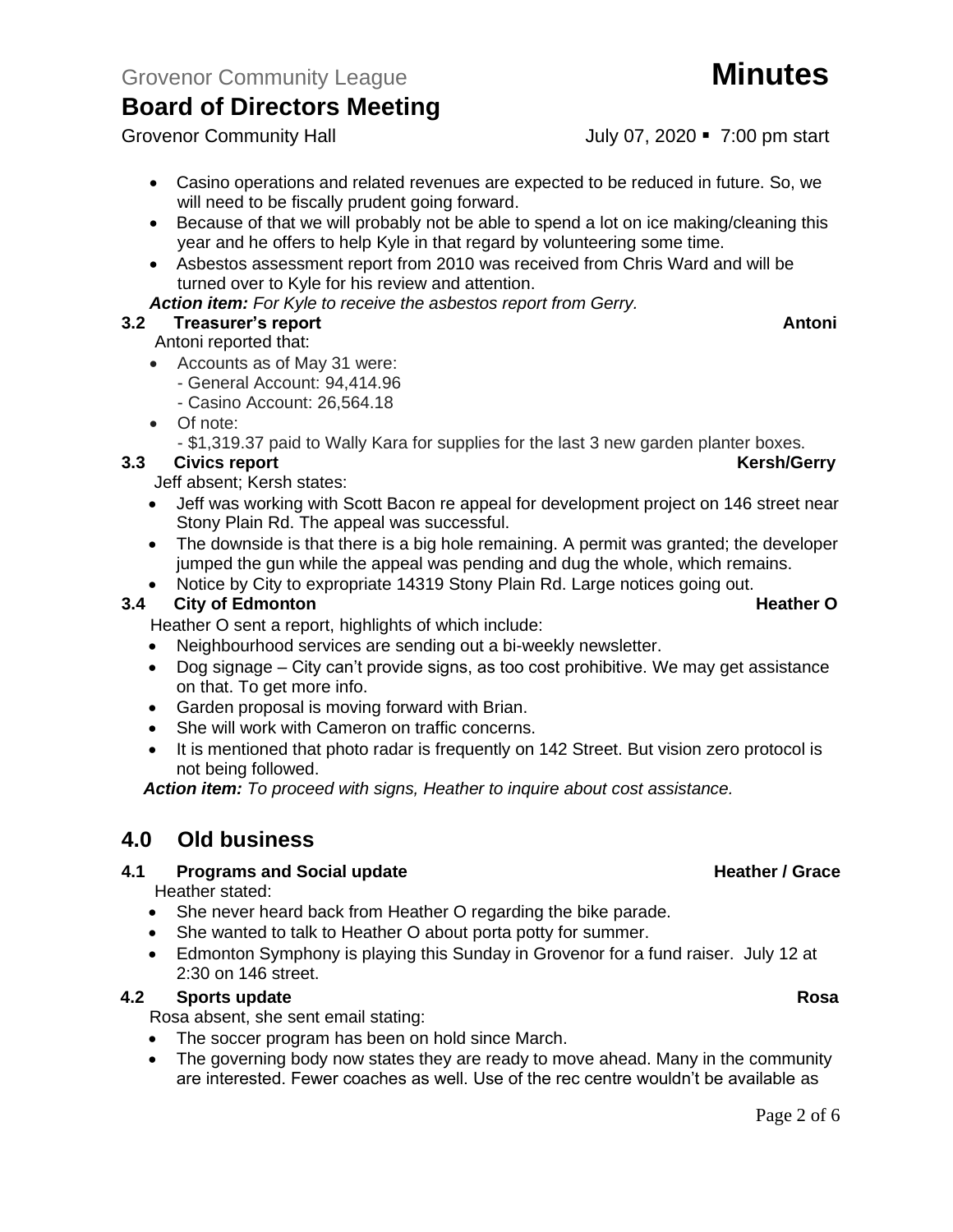Grovenor Community Hall **Grovenor Community Hall** July 07, 2020 • 7:00 pm start

- Casino operations and related revenues are expected to be reduced in future. So, we will need to be fiscally prudent going forward.
- Because of that we will probably not be able to spend a lot on ice making/cleaning this year and he offers to help Kyle in that regard by volunteering some time.
- Asbestos assessment report from 2010 was received from Chris Ward and will be turned over to Kyle for his review and attention.
- *Action item: For Kyle to receive the asbestos report from Gerry.*

#### **3.2 Freasurer's report Antonic Structure Antonic Structure Antonic Antonic Antonic Antonic Antonic Antonic Antoni**

#### Antoni reported that:

- Accounts as of May 31 were:
	- General Account: 94,414.96
	- Casino Account: 26,564.18
- Of note:

- \$1,319.37 paid to Wally Kara for supplies for the last 3 new garden planter boxes.

#### **3.3** Civics report **Kersh/Gerry**

Jeff absent; Kersh states:

- Jeff was working with Scott Bacon re appeal for development project on 146 street near Stony Plain Rd. The appeal was successful.
- The downside is that there is a big hole remaining. A permit was granted; the developer jumped the gun while the appeal was pending and dug the whole, which remains.
- Notice by City to expropriate 14319 Stony Plain Rd. Large notices going out.

#### **3.4 City of Edmonton Constanting Constanting Constanting Constanting Constanting Constanting Constanting Constanting Constanting Constanting Constanting Constanting Constanting Constanting Constanting Constanting Cons**

Heather O sent a report, highlights of which include:

- Neighbourhood services are sending out a bi-weekly newsletter.
- Dog signage City can't provide signs, as too cost prohibitive. We may get assistance on that. To get more info.
- Garden proposal is moving forward with Brian.
- She will work with Cameron on traffic concerns.
- It is mentioned that photo radar is frequently on 142 Street. But vision zero protocol is not being followed.

*Action item: To proceed with signs, Heather to inquire about cost assistance.*

### **4.0 Old business**

#### **4.1 Programs and Social update <b>Access 2.1 Access 2.1 Access 2.1 Access** 2.1 Access 2.1 Access 2.1 Access 2.1 Access 2.1 Access 2.1 Access 2.1 Access 2.1 Access 2.1 Access 2.1 Access 2.1 Access 2.1 Access 2.1 Access 2.1 A

Heather stated:

- She never heard back from Heather O regarding the bike parade.
- She wanted to talk to Heather O about porta potty for summer.
- Edmonton Symphony is playing this Sunday in Grovenor for a fund raiser. July 12 at 2:30 on 146 street.

#### **4.2 Sports update Rosa**

Rosa absent, she sent email stating:

- The soccer program has been on hold since March.
- The governing body now states they are ready to move ahead. Many in the community are interested. Fewer coaches as well. Use of the rec centre wouldn't be available as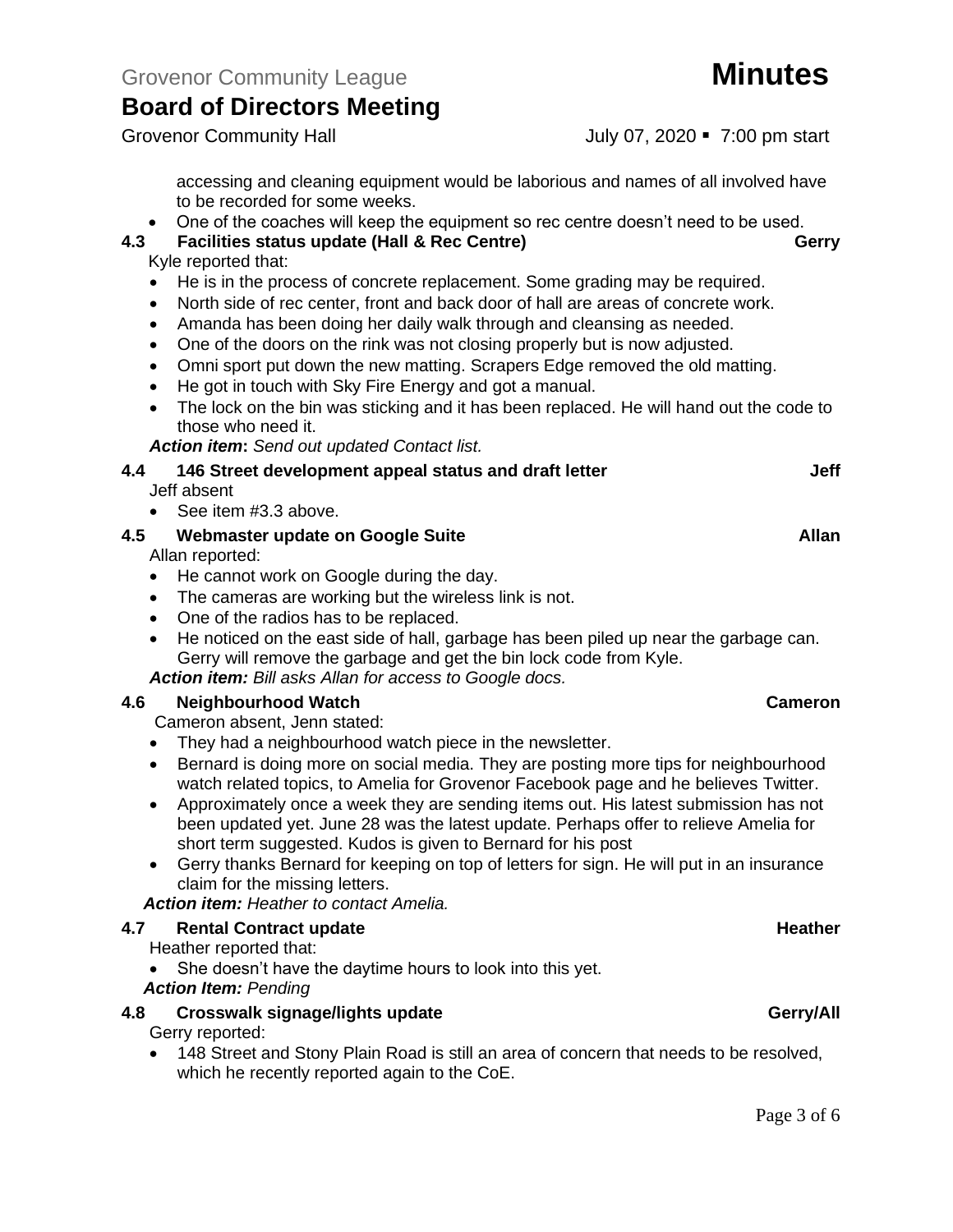Grovenor Community Hall July 07, 2020 • 7:00 pm start

accessing and cleaning equipment would be laborious and names of all involved have to be recorded for some weeks.

• One of the coaches will keep the equipment so rec centre doesn't need to be used.

#### **4.3 Facilities status update (Hall & Rec Centre) Gerry**

Kyle reported that:

- He is in the process of concrete replacement. Some grading may be required.
- North side of rec center, front and back door of hall are areas of concrete work.
- Amanda has been doing her daily walk through and cleansing as needed.
- One of the doors on the rink was not closing properly but is now adjusted.
- Omni sport put down the new matting. Scrapers Edge removed the old matting.
- He got in touch with Sky Fire Energy and got a manual.
- The lock on the bin was sticking and it has been replaced. He will hand out the code to those who need it.

#### *Action item***:** *Send out updated Contact list.*

| 4.4 | 146 Street development appeal status and draft letter | Jeff  |
|-----|-------------------------------------------------------|-------|
|     | Jeff absent                                           |       |
|     | • See item $#3.3$ above.                              |       |
| 4.5 | Webmaster update on Google Suite                      | Allan |
|     | الملح المتحدث والمستحدث والتلاب                       |       |

Allan reported:

- He cannot work on Google during the day.
- The cameras are working but the wireless link is not.
- One of the radios has to be replaced.
- He noticed on the east side of hall, garbage has been piled up near the garbage can. Gerry will remove the garbage and get the bin lock code from Kyle. *Action item: Bill asks Allan for access to Google docs.*

#### **4.6 Neighbourhood Watch Cameron**

Cameron absent, Jenn stated:

- They had a neighbourhood watch piece in the newsletter.
- Bernard is doing more on social media. They are posting more tips for neighbourhood watch related topics, to Amelia for Grovenor Facebook page and he believes Twitter.
- Approximately once a week they are sending items out. His latest submission has not been updated yet. June 28 was the latest update. Perhaps offer to relieve Amelia for short term suggested. Kudos is given to Bernard for his post
- Gerry thanks Bernard for keeping on top of letters for sign. He will put in an insurance claim for the missing letters.

*Action item: Heather to contact Amelia.*

#### **4.7 Rental Contract update Heather**

- Heather reported that:
- She doesn't have the daytime hours to look into this yet. *Action Item: Pending*

#### **4.8 Crosswalk signage/lights update Gerry/All**

Gerry reported:

• 148 Street and Stony Plain Road is still an area of concern that needs to be resolved, which he recently reported again to the CoE.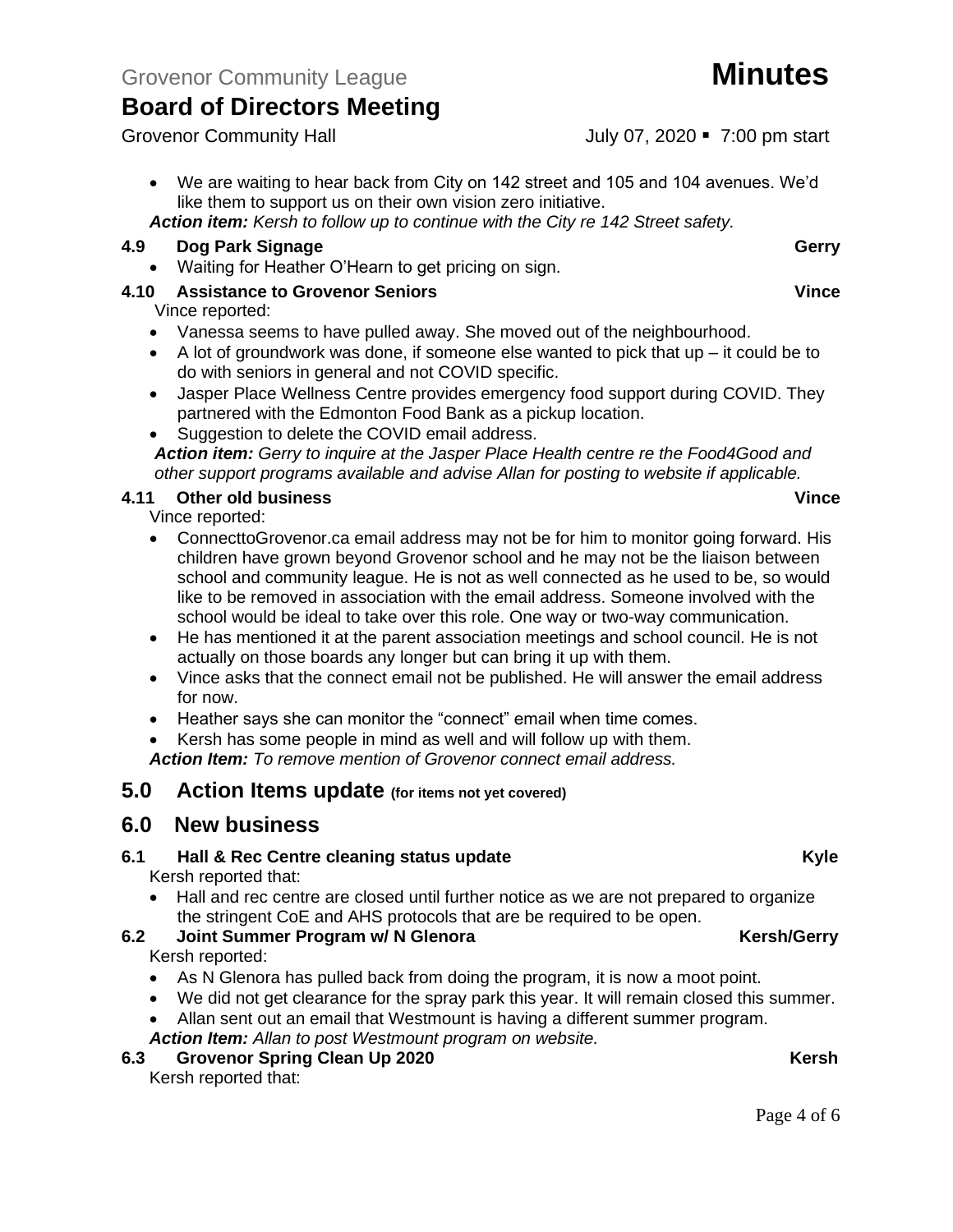• We are waiting to hear back from City on 142 street and 105 and 104 avenues. We'd like them to support us on their own vision zero initiative.

*Action item: Kersh to follow up to continue with the City re 142 Street safety.*

#### **4.9 Dog Park Signage Gerry** Gerry **Gerry**

• Waiting for Heather O'Hearn to get pricing on sign.

#### **4.10 Assistance to Grovenor Seniors Vince**

Vince reported:

- Vanessa seems to have pulled away. She moved out of the neighbourhood.
- A lot of groundwork was done, if someone else wanted to pick that  $up it$  could be to do with seniors in general and not COVID specific.
- Jasper Place Wellness Centre provides emergency food support during COVID. They partnered with the Edmonton Food Bank as a pickup location.
- Suggestion to delete the COVID email address.

*Action item: Gerry to inquire at the Jasper Place Health centre re the Food4Good and other support programs available and advise Allan for posting to website if applicable.*

#### **4.11 Other old business Vince**

Vince reported:

- ConnecttoGrovenor.ca email address may not be for him to monitor going forward. His children have grown beyond Grovenor school and he may not be the liaison between school and community league. He is not as well connected as he used to be, so would like to be removed in association with the email address. Someone involved with the school would be ideal to take over this role. One way or two-way communication.
- He has mentioned it at the parent association meetings and school council. He is not actually on those boards any longer but can bring it up with them.
- Vince asks that the connect email not be published. He will answer the email address for now.
- Heather says she can monitor the "connect" email when time comes.

• Kersh has some people in mind as well and will follow up with them. *Action Item: To remove mention of Grovenor connect email address.*

#### **5.0 Action Items update (for items not yet covered)**

#### **6.0 New business**

### **6.1 Hall & Rec Centre cleaning status update Kyle**

Kersh reported that:

• Hall and rec centre are closed until further notice as we are not prepared to organize the stringent CoE and AHS protocols that are be required to be open.

#### **6.2 Joint Summer Program w/ N Glenora Kersh/Gerry** Kersh reported:

- As N Glenora has pulled back from doing the program, it is now a moot point.
- We did not get clearance for the spray park this year. It will remain closed this summer.
- Allan sent out an email that Westmount is having a different summer program.

*Action Item: Allan to post Westmount program on website.*

### **6.3 Grovenor Spring Clean Up 2020 Kersh**

Kersh reported that:

Grovenor Community Hall **Grovenor Community Hall** July 07, 2020 • 7:00 pm start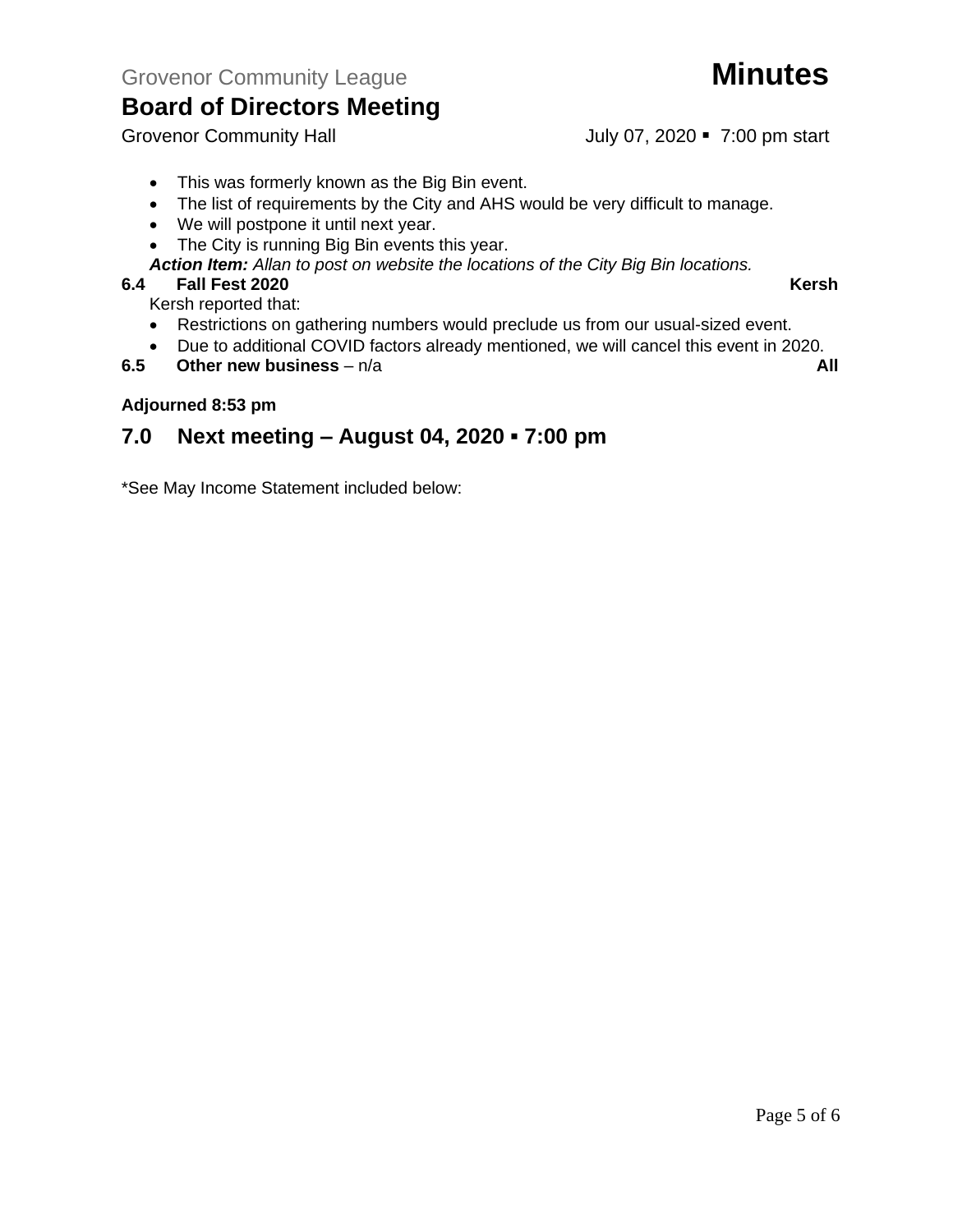- This was formerly known as the Big Bin event.
- The list of requirements by the City and AHS would be very difficult to manage.
- We will postpone it until next year.
- The City is running Big Bin events this year.

*Action Item: Allan to post on website the locations of the City Big Bin locations.*

#### **6.4 Fall Fest 2020 Kersh**

Kersh reported that:

- Restrictions on gathering numbers would preclude us from our usual-sized event.
- Due to additional COVID factors already mentioned, we will cancel this event in 2020.
- **6.5 Other new business** n/a **All**

#### **Adjourned 8:53 pm**

### **7.0 Next meeting – August 04, 2020 ▪ 7:00 pm**

\*See May Income Statement included below:



Grovenor Community Hall July 07, 2020 • 7:00 pm start